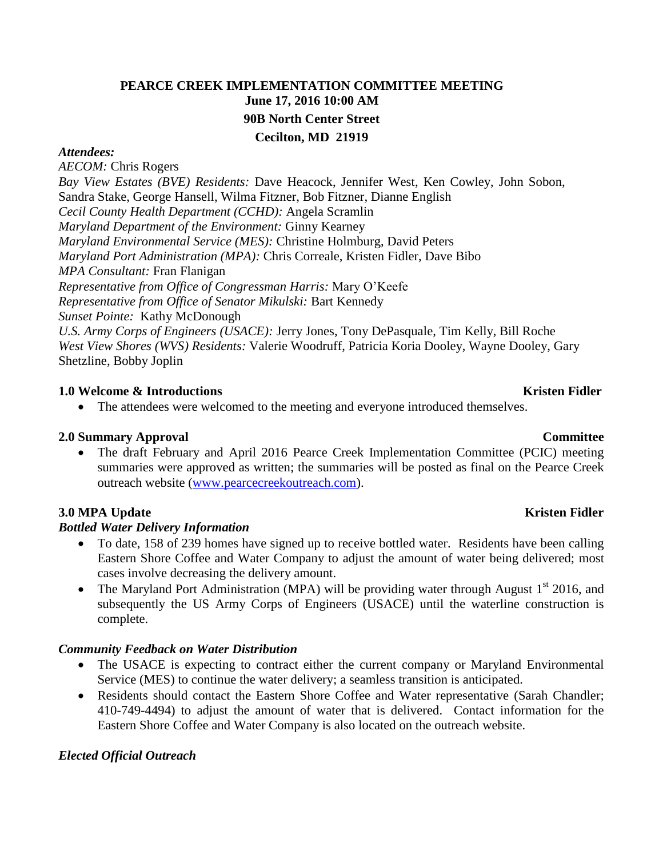# **PEARCE CREEK IMPLEMENTATION COMMITTEE MEETING June 17, 2016 10:00 AM 90B North Center Street Cecilton, MD 21919**

#### *Attendees:*

*AECOM:* Chris Rogers *Bay View Estates (BVE) Residents:* Dave Heacock, Jennifer West, Ken Cowley, John Sobon, Sandra Stake, George Hansell, Wilma Fitzner, Bob Fitzner, Dianne English *Cecil County Health Department (CCHD):* Angela Scramlin *Maryland Department of the Environment:* Ginny Kearney *Maryland Environmental Service (MES):* Christine Holmburg, David Peters *Maryland Port Administration (MPA):* Chris Correale, Kristen Fidler, Dave Bibo *MPA Consultant:* Fran Flanigan *Representative from Office of Congressman Harris:* Mary O'Keefe *Representative from Office of Senator Mikulski:* Bart Kennedy *Sunset Pointe:* Kathy McDonough *U.S. Army Corps of Engineers (USACE):* Jerry Jones, Tony DePasquale, Tim Kelly, Bill Roche *West View Shores (WVS) Residents:* Valerie Woodruff, Patricia Koria Dooley, Wayne Dooley, Gary Shetzline, Bobby Joplin

#### **1.0** Welcome & Introductions **Kristen Fidler Kristen Fidler Kristen Fidler Kristen Fidler**

• The attendees were welcomed to the meeting and everyone introduced themselves.

#### **2.0 Summary Approval Committee**

• The draft February and April 2016 Pearce Creek Implementation Committee (PCIC) meeting summaries were approved as written; the summaries will be posted as final on the Pearce Creek outreach website [\(www.pearcecreekoutreach.com\)](http://www.pearcecreekoutreach.com/).

#### **3.0** MPA Update Kristen Fidler

#### *Bottled Water Delivery Information*

- To date, 158 of 239 homes have signed up to receive bottled water. Residents have been calling Eastern Shore Coffee and Water Company to adjust the amount of water being delivered; most cases involve decreasing the delivery amount.
- The Maryland Port Administration (MPA) will be providing water through August  $1<sup>st</sup>$  2016, and subsequently the US Army Corps of Engineers (USACE) until the waterline construction is complete.

#### *Community Feedback on Water Distribution*

- The USACE is expecting to contract either the current company or Maryland Environmental Service (MES) to continue the water delivery; a seamless transition is anticipated.
- Residents should contact the Eastern Shore Coffee and Water representative (Sarah Chandler; 410-749-4494) to adjust the amount of water that is delivered. Contact information for the Eastern Shore Coffee and Water Company is also located on the outreach website.

#### *Elected Official Outreach*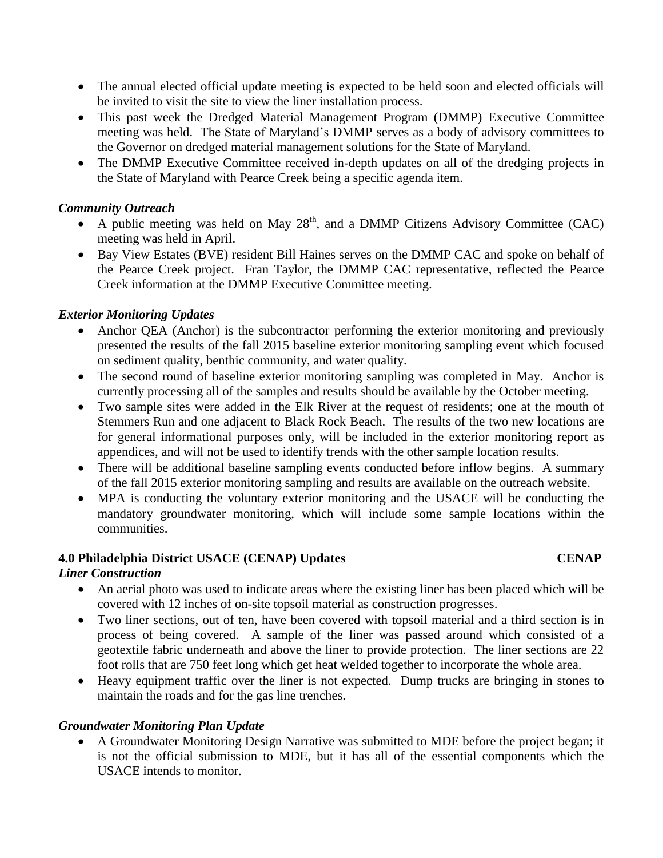- The annual elected official update meeting is expected to be held soon and elected officials will be invited to visit the site to view the liner installation process.
- This past week the Dredged Material Management Program (DMMP) Executive Committee meeting was held. The State of Maryland's DMMP serves as a body of advisory committees to the Governor on dredged material management solutions for the State of Maryland.
- The DMMP Executive Committee received in-depth updates on all of the dredging projects in the State of Maryland with Pearce Creek being a specific agenda item.

## *Community Outreach*

- A public meeting was held on May  $28<sup>th</sup>$ , and a DMMP Citizens Advisory Committee (CAC) meeting was held in April.
- Bay View Estates (BVE) resident Bill Haines serves on the DMMP CAC and spoke on behalf of the Pearce Creek project. Fran Taylor, the DMMP CAC representative, reflected the Pearce Creek information at the DMMP Executive Committee meeting.

## *Exterior Monitoring Updates*

- Anchor QEA (Anchor) is the subcontractor performing the exterior monitoring and previously presented the results of the fall 2015 baseline exterior monitoring sampling event which focused on sediment quality, benthic community, and water quality.
- The second round of baseline exterior monitoring sampling was completed in May. Anchor is currently processing all of the samples and results should be available by the October meeting.
- Two sample sites were added in the Elk River at the request of residents; one at the mouth of Stemmers Run and one adjacent to Black Rock Beach. The results of the two new locations are for general informational purposes only, will be included in the exterior monitoring report as appendices, and will not be used to identify trends with the other sample location results.
- There will be additional baseline sampling events conducted before inflow begins. A summary of the fall 2015 exterior monitoring sampling and results are available on the outreach website.
- MPA is conducting the voluntary exterior monitoring and the USACE will be conducting the mandatory groundwater monitoring, which will include some sample locations within the communities.

## **4.0 Philadelphia District USACE (CENAP) Updates CENAP**

## *Liner Construction*

- An aerial photo was used to indicate areas where the existing liner has been placed which will be covered with 12 inches of on-site topsoil material as construction progresses.
- Two liner sections, out of ten, have been covered with topsoil material and a third section is in process of being covered. A sample of the liner was passed around which consisted of a geotextile fabric underneath and above the liner to provide protection. The liner sections are 22 foot rolls that are 750 feet long which get heat welded together to incorporate the whole area.
- Heavy equipment traffic over the liner is not expected. Dump trucks are bringing in stones to maintain the roads and for the gas line trenches.

## *Groundwater Monitoring Plan Update*

 A Groundwater Monitoring Design Narrative was submitted to MDE before the project began; it is not the official submission to MDE, but it has all of the essential components which the USACE intends to monitor.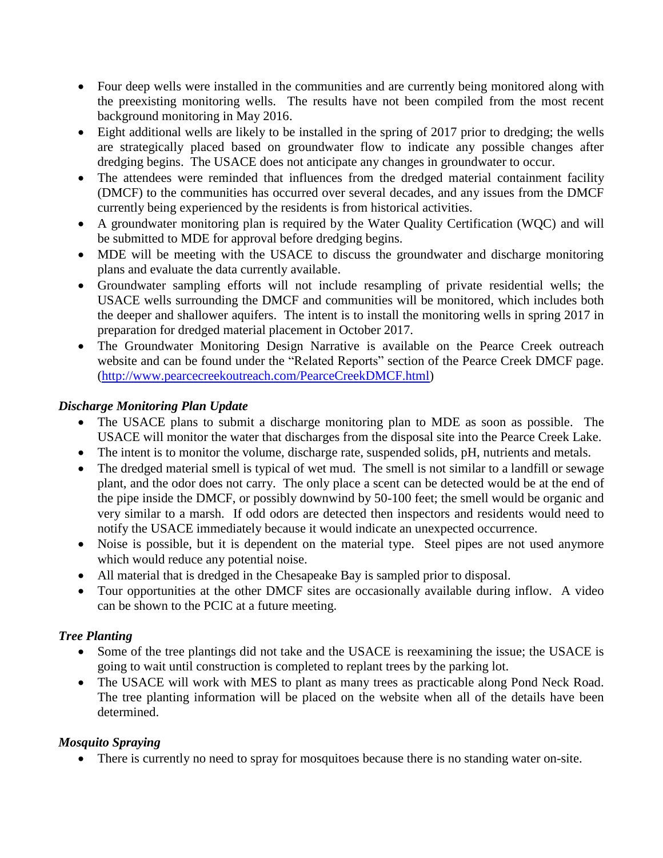- Four deep wells were installed in the communities and are currently being monitored along with the preexisting monitoring wells. The results have not been compiled from the most recent background monitoring in May 2016.
- Eight additional wells are likely to be installed in the spring of 2017 prior to dredging; the wells are strategically placed based on groundwater flow to indicate any possible changes after dredging begins. The USACE does not anticipate any changes in groundwater to occur.
- The attendees were reminded that influences from the dredged material containment facility (DMCF) to the communities has occurred over several decades, and any issues from the DMCF currently being experienced by the residents is from historical activities.
- A groundwater monitoring plan is required by the Water Quality Certification (WQC) and will be submitted to MDE for approval before dredging begins.
- MDE will be meeting with the USACE to discuss the groundwater and discharge monitoring plans and evaluate the data currently available.
- Groundwater sampling efforts will not include resampling of private residential wells; the USACE wells surrounding the DMCF and communities will be monitored, which includes both the deeper and shallower aquifers. The intent is to install the monitoring wells in spring 2017 in preparation for dredged material placement in October 2017.
- The Groundwater Monitoring Design Narrative is available on the Pearce Creek outreach website and can be found under the "Related Reports" section of the Pearce Creek DMCF page. [\(http://www.pearcecreekoutreach.com/PearceCreekDMCF.html\)](http://www.pearcecreekoutreach.com/PearceCreekDMCF.html)

## *Discharge Monitoring Plan Update*

- The USACE plans to submit a discharge monitoring plan to MDE as soon as possible. The USACE will monitor the water that discharges from the disposal site into the Pearce Creek Lake.
- The intent is to monitor the volume, discharge rate, suspended solids, pH, nutrients and metals.
- The dredged material smell is typical of wet mud. The smell is not similar to a landfill or sewage plant, and the odor does not carry. The only place a scent can be detected would be at the end of the pipe inside the DMCF, or possibly downwind by 50-100 feet; the smell would be organic and very similar to a marsh. If odd odors are detected then inspectors and residents would need to notify the USACE immediately because it would indicate an unexpected occurrence.
- Noise is possible, but it is dependent on the material type. Steel pipes are not used anymore which would reduce any potential noise.
- All material that is dredged in the Chesapeake Bay is sampled prior to disposal.
- Tour opportunities at the other DMCF sites are occasionally available during inflow. A video can be shown to the PCIC at a future meeting.

## *Tree Planting*

- Some of the tree plantings did not take and the USACE is reexamining the issue; the USACE is going to wait until construction is completed to replant trees by the parking lot.
- The USACE will work with MES to plant as many trees as practicable along Pond Neck Road. The tree planting information will be placed on the website when all of the details have been determined.

## *Mosquito Spraying*

There is currently no need to spray for mosquitoes because there is no standing water on-site.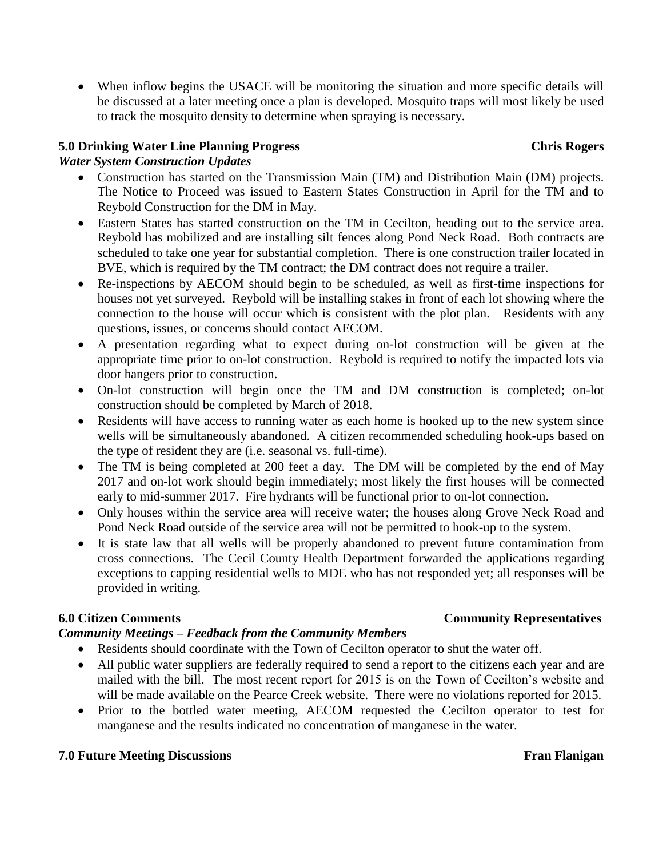When inflow begins the USACE will be monitoring the situation and more specific details will be discussed at a later meeting once a plan is developed. Mosquito traps will most likely be used to track the mosquito density to determine when spraying is necessary.

## **5.0 Drinking Water Line Planning Progress Chris Rogers**

## *Water System Construction Updates*

- Construction has started on the Transmission Main (TM) and Distribution Main (DM) projects. The Notice to Proceed was issued to Eastern States Construction in April for the TM and to Reybold Construction for the DM in May.
- Eastern States has started construction on the TM in Cecilton, heading out to the service area. Reybold has mobilized and are installing silt fences along Pond Neck Road. Both contracts are scheduled to take one year for substantial completion. There is one construction trailer located in BVE, which is required by the TM contract; the DM contract does not require a trailer.
- Re-inspections by AECOM should begin to be scheduled, as well as first-time inspections for houses not yet surveyed. Reybold will be installing stakes in front of each lot showing where the connection to the house will occur which is consistent with the plot plan. Residents with any questions, issues, or concerns should contact AECOM.
- A presentation regarding what to expect during on-lot construction will be given at the appropriate time prior to on-lot construction. Reybold is required to notify the impacted lots via door hangers prior to construction.
- On-lot construction will begin once the TM and DM construction is completed; on-lot construction should be completed by March of 2018.
- Residents will have access to running water as each home is hooked up to the new system since wells will be simultaneously abandoned. A citizen recommended scheduling hook-ups based on the type of resident they are (i.e. seasonal vs. full-time).
- The TM is being completed at 200 feet a day. The DM will be completed by the end of May 2017 and on-lot work should begin immediately; most likely the first houses will be connected early to mid-summer 2017. Fire hydrants will be functional prior to on-lot connection.
- Only houses within the service area will receive water; the houses along Grove Neck Road and Pond Neck Road outside of the service area will not be permitted to hook-up to the system.
- It is state law that all wells will be properly abandoned to prevent future contamination from cross connections. The Cecil County Health Department forwarded the applications regarding exceptions to capping residential wells to MDE who has not responded yet; all responses will be provided in writing.

## *Community Meetings – Feedback from the Community Members*

- Residents should coordinate with the Town of Cecilton operator to shut the water off.
- All public water suppliers are federally required to send a report to the citizens each year and are mailed with the bill. The most recent report for 2015 is on the Town of Cecilton's website and will be made available on the Pearce Creek website. There were no violations reported for 2015.
- Prior to the bottled water meeting, AECOM requested the Cecilton operator to test for manganese and the results indicated no concentration of manganese in the water.

## **7.0 Future Meeting Discussions** Fran Flanigan

# **6.0 Citizen Comments Community Representatives**